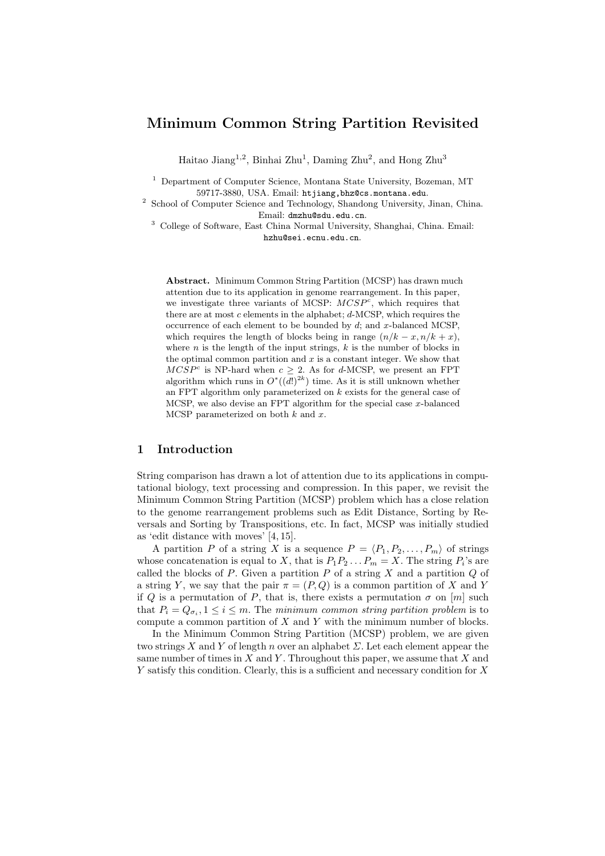# Minimum Common String Partition Revisited

Haitao Jiang<sup>1,2</sup>, Binhai Zhu<sup>1</sup>, Daming Zhu<sup>2</sup>, and Hong Zhu<sup>3</sup>

<sup>1</sup> Department of Computer Science, Montana State University, Bozeman, MT 59717-3880, USA. Email: htjiang,bhz@cs.montana.edu.

2 School of Computer Science and Technology, Shandong University, Jinan, China. Email: dmzhu@sdu.edu.cn.

<sup>3</sup> College of Software, East China Normal University, Shanghai, China. Email: hzhu@sei.ecnu.edu.cn.

Abstract. Minimum Common String Partition (MCSP) has drawn much attention due to its application in genome rearrangement. In this paper, we investigate three variants of MCSP:  $MCSP<sup>c</sup>$ , which requires that there are at most  $c$  elements in the alphabet;  $d$ -MCSP, which requires the occurrence of each element to be bounded by  $d$ ; and  $x$ -balanced MCSP, which requires the length of blocks being in range  $(n/k - x, n/k + x)$ , where  $n$  is the length of the input strings,  $k$  is the number of blocks in the optimal common partition and  $x$  is a constant integer. We show that  $MCSP<sup>c</sup>$  is NP-hard when  $c \geq 2$ . As for d-MCSP, we present an FPT algorithm which runs in  $O^*(\overline{d!})^{2k})$  time. As it is still unknown whether an FPT algorithm only parameterized on k exists for the general case of MCSP, we also devise an FPT algorithm for the special case  $x$ -balanced MCSP parameterized on both  $k$  and  $x$ .

# 1 Introduction

String comparison has drawn a lot of attention due to its applications in computational biology, text processing and compression. In this paper, we revisit the Minimum Common String Partition (MCSP) problem which has a close relation to the genome rearrangement problems such as Edit Distance, Sorting by Reversals and Sorting by Transpositions, etc. In fact, MCSP was initially studied as 'edit distance with moves' [4, 15].

A partition P of a string X is a sequence  $P = \langle P_1, P_2, \ldots, P_m \rangle$  of strings whose concatenation is equal to X, that is  $P_1P_2...P_m = X$ . The string  $P_i$ 's are called the blocks of  $P$ . Given a partition  $P$  of a string  $X$  and a partition  $Q$  of a string Y, we say that the pair  $\pi = (P, Q)$  is a common partition of X and Y if Q is a permutation of P, that is, there exists a permutation  $\sigma$  on  $[m]$  such that  $P_i = Q_{\sigma_i}, 1 \leq i \leq m$ . The minimum common string partition problem is to compute a common partition of  $X$  and  $Y$  with the minimum number of blocks.

In the Minimum Common String Partition (MCSP) problem, we are given two strings X and Y of length n over an alphabet  $\Sigma$ . Let each element appear the same number of times in  $X$  and  $Y$ . Throughout this paper, we assume that  $X$  and Y satisfy this condition. Clearly, this is a sufficient and necessary condition for X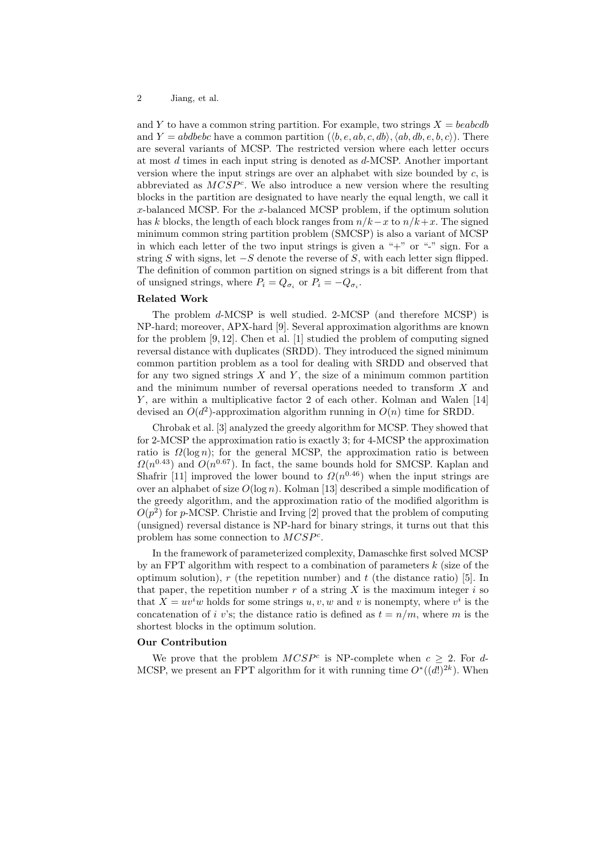and Y to have a common string partition. For example, two strings  $X = \text{beab}$ and  $Y = abdebc$  have a common partition  $(\langle b, e, ab, c, db \rangle, \langle ab, db, e, b, c \rangle)$ . There are several variants of MCSP. The restricted version where each letter occurs at most  $d$  times in each input string is denoted as  $d$ -MCSP. Another important version where the input strings are over an alphabet with size bounded by  $c$ , is abbreviated as  $MCSP<sup>c</sup>$ . We also introduce a new version where the resulting blocks in the partition are designated to have nearly the equal length, we call it  $x$ -balanced MCSP. For the  $x$ -balanced MCSP problem, if the optimum solution has k blocks, the length of each block ranges from  $n/k-x$  to  $n/k+x$ . The signed minimum common string partition problem (SMCSP) is also a variant of MCSP in which each letter of the two input strings is given a " $+$ " or "-" sign. For a string S with signs, let  $-S$  denote the reverse of S, with each letter sign flipped. The definition of common partition on signed strings is a bit different from that of unsigned strings, where  $P_i = Q_{\sigma_i}$  or  $P_i = -Q_{\sigma_i}$ .

#### Related Work

The problem d-MCSP is well studied. 2-MCSP (and therefore MCSP) is NP-hard; moreover, APX-hard [9]. Several approximation algorithms are known for the problem  $[9, 12]$ . Chen et al.  $[1]$  studied the problem of computing signed reversal distance with duplicates (SRDD). They introduced the signed minimum common partition problem as a tool for dealing with SRDD and observed that for any two signed strings  $X$  and  $Y$ , the size of a minimum common partition and the minimum number of reversal operations needed to transform X and Y , are within a multiplicative factor 2 of each other. Kolman and Walen [14] devised an  $O(d^2)$ -approximation algorithm running in  $O(n)$  time for SRDD.

Chrobak et al. [3] analyzed the greedy algorithm for MCSP. They showed that for 2-MCSP the approximation ratio is exactly 3; for 4-MCSP the approximation ratio is  $\Omega(\log n)$ ; for the general MCSP, the approximation ratio is between  $\Omega(n^{0.43})$  and  $O(n^{0.67})$ . In fact, the same bounds hold for SMCSP. Kaplan and Shafrir [11] improved the lower bound to  $\Omega(n^{0.46})$  when the input strings are over an alphabet of size  $O(\log n)$ . Kolman [13] described a simple modification of the greedy algorithm, and the approximation ratio of the modified algorithm is  $O(p^2)$  for p-MCSP. Christie and Irving [2] proved that the problem of computing (unsigned) reversal distance is NP-hard for binary strings, it turns out that this problem has some connection to  $MCSP<sup>c</sup>$ .

In the framework of parameterized complexity, Damaschke first solved MCSP by an FPT algorithm with respect to a combination of parameters  $k$  (size of the optimum solution),  $r$  (the repetition number) and  $t$  (the distance ratio) [5]. In that paper, the repetition number r of a string  $X$  is the maximum integer i so that  $X = uv^iw$  holds for some strings  $u, v, w$  and v is nonempty, where  $v^i$  is the concatenation of i v's; the distance ratio is defined as  $t = n/m$ , where m is the shortest blocks in the optimum solution.

#### Our Contribution

We prove that the problem  $MCSP<sup>c</sup>$  is NP-complete when  $c \geq 2$ . For d-MCSP, we present an FPT algorithm for it with running time  $O^*((d!)^{2k})$ . When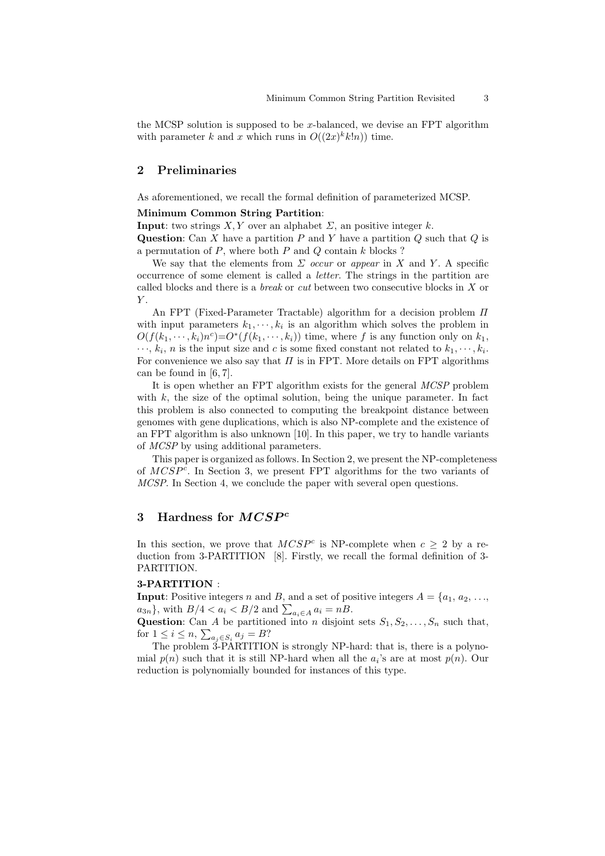the MCSP solution is supposed to be x-balanced, we devise an  $FPT$  algorithm with parameter k and x which runs in  $O((2x)^k k!n)$  time.

### 2 Preliminaries

As aforementioned, we recall the formal definition of parameterized MCSP.

### Minimum Common String Partition:

**Input:** two strings  $X, Y$  over an alphabet  $\Sigma$ , an positive integer  $k$ .

Question: Can X have a partition  $P$  and Y have a partition  $Q$  such that  $Q$  is a permutation of  $P$ , where both  $P$  and  $Q$  contain  $k$  blocks ?

We say that the elements from  $\Sigma$  occur or appear in X and Y. A specific occurrence of some element is called a letter. The strings in the partition are called blocks and there is a break or cut between two consecutive blocks in X or  $\boldsymbol{Y}.$ 

An FPT (Fixed-Parameter Tractable) algorithm for a decision problem Π with input parameters  $k_1, \dots, k_i$  is an algorithm which solves the problem in  $O(f(k_1, \dots, k_i)n^c) = O^*(f(k_1, \dots, k_i))$  time, where f is any function only on  $k_1$ ,  $\cdots$ ,  $k_i$ , *n* is the input size and *c* is some fixed constant not related to  $k_1, \cdots, k_i$ . For convenience we also say that  $\Pi$  is in FPT. More details on FPT algorithms can be found in [6, 7].

It is open whether an FPT algorithm exists for the general MCSP problem with  $k$ , the size of the optimal solution, being the unique parameter. In fact this problem is also connected to computing the breakpoint distance between genomes with gene duplications, which is also NP-complete and the existence of an FPT algorithm is also unknown [10]. In this paper, we try to handle variants of MCSP by using additional parameters.

This paper is organized as follows. In Section 2, we present the NP-completeness of MCSP<sup>c</sup> . In Section 3, we present FPT algorithms for the two variants of MCSP. In Section 4, we conclude the paper with several open questions.

## 3 Hardness for  $MCSP<sup>c</sup>$

In this section, we prove that  $MCSP<sup>c</sup>$  is NP-complete when  $c \geq 2$  by a reduction from 3-PARTITION [8]. Firstly, we recall the formal definition of 3- PARTITION.

#### 3-PARTITION :

**Input:** Positive integers n and B, and a set of positive integers  $A = \{a_1, a_2, \ldots, a_n\}$  $a_{3n}$ , with  $B/4 < a_i < B/2$  and  $\sum_{a_i \in A} a_i = nB$ .

Question: Can A be partitioned into n disjoint sets  $S_1, S_2, \ldots, S_n$  such that, for  $1 \leq i \leq n$ ,  $\sum_{a_j \in S_i} a_j = B$ ?

The problem 3-PARTITION is strongly NP-hard: that is, there is a polynomial  $p(n)$  such that it is still NP-hard when all the  $a_i$ 's are at most  $p(n)$ . Our reduction is polynomially bounded for instances of this type.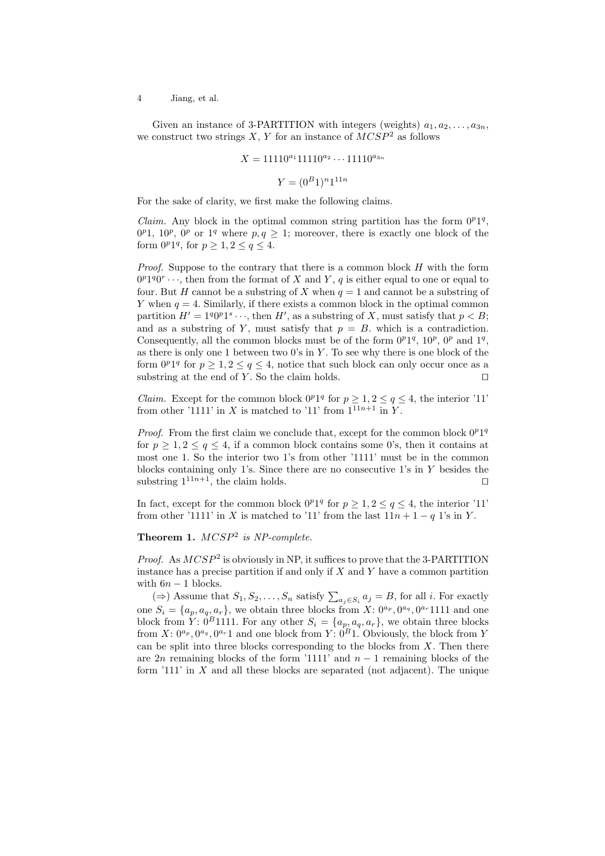4 Jiang, et al.

Given an instance of 3-PARTITION with integers (weights)  $a_1, a_2, \ldots, a_{3n}$ , we construct two strings X, Y for an instance of  $MCSP<sup>2</sup>$  as follows

$$
X = 11110^{a_1}11110^{a_2} \cdots 11110^{a_{3n}}
$$

$$
Y = (0^B 1)^{n} 1^{11n}
$$

For the sake of clarity, we first make the following claims.

*Claim.* Any block in the optimal common string partition has the form  $0^p1^q$ ,  $0^{p}$ 1,  $10^{p}$ ,  $0^{p}$  or  $1^{q}$  where  $p, q \geq 1$ ; moreover, there is exactly one block of the form  $0^p1^q$ , for  $p \geq 1, 2 \leq q \leq 4$ .

*Proof.* Suppose to the contrary that there is a common block  $H$  with the form  $0^p1^q0^r \cdots$ , then from the format of X and Y, q is either equal to one or equal to four. But H cannot be a substring of X when  $q = 1$  and cannot be a substring of Y when  $q = 4$ . Similarly, if there exists a common block in the optimal common partition  $H' = 1^q 0^p 1^s \cdots$ , then  $H'$ , as a substring of X, must satisfy that  $p < B$ ; and as a substring of Y, must satisfy that  $p = B$ , which is a contradiction. Consequently, all the common blocks must be of the form  $0^p1^q$ ,  $10^p$ ,  $0^p$  and  $1^q$ , as there is only one 1 between two  $0$ 's in  $Y$ . To see why there is one block of the form  $0^p1^q$  for  $p \geq 1, 2 \leq q \leq 4$ , notice that such block can only occur once as a substring at the end of Y. So the claim holds.  $□$ 

*Claim.* Except for the common block  $0^p1^q$  for  $p \geq 1, 2 \leq q \leq 4$ , the interior '11' from other '1111' in X is matched to '11' from  $1^{11n+1}$  in Y.

*Proof.* From the first claim we conclude that, except for the common block  $0^p1^q$ for  $p \geq 1, 2 \leq q \leq 4$ , if a common block contains some 0's, then it contains at most one 1. So the interior two 1's from other '1111' must be in the common blocks containing only 1's. Since there are no consecutive 1's in Y besides the substring  $1^{11n+1}$ , the claim holds. □

In fact, except for the common block  $0^p1^q$  for  $p \geq 1, 2 \leq q \leq 4$ , the interior '11' from other '1111' in X is matched to '11' from the last  $11n + 1 - q$  1's in Y.

# **Theorem 1.**  $MCSP<sup>2</sup>$  is NP-complete.

*Proof.* As  $MCSP<sup>2</sup>$  is obviously in NP, it suffices to prove that the 3-PARTITION instance has a precise partition if and only if  $X$  and  $Y$  have a common partition with  $6n - 1$  blocks.

(⇒) Assume that  $S_1, S_2, \ldots, S_n$  satisfy  $\sum_{a_j \in S_i} a_j = B$ , for all *i*. For exactly one  $S_i = \{a_p, a_q, a_r\}$ , we obtain three blocks from  $X: 0^{a_p}, 0^{a_q}, 0^{a_r}$  1111 and one block from  $\hat{Y}$ :  $\hat{0}^B$ 1111. For any other  $S_i = \{a_p, a_q, a_r\}$ , we obtain three blocks from  $X: 0^{a_p}, 0^{a_q}, 0^{a_r}1$  and one block from  $Y: 0^B1$ . Obviously, the block from Y can be split into three blocks corresponding to the blocks from  $X$ . Then there are 2n remaining blocks of the form '1111' and  $n-1$  remaining blocks of the form  $111'$  in X and all these blocks are separated (not adjacent). The unique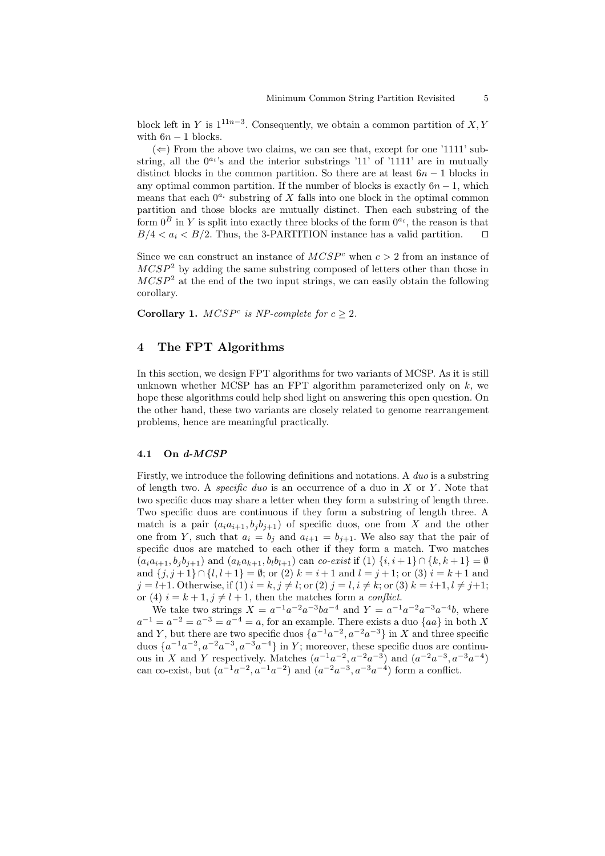block left in Y is  $1^{11n-3}$ . Consequently, we obtain a common partition of  $X, Y$ with  $6n - 1$  blocks.

 $(\Leftarrow)$  From the above two claims, we can see that, except for one '1111' substring, all the  $0^{a_i}$ 's and the interior substrings '11' of '1111' are in mutually distinct blocks in the common partition. So there are at least  $6n - 1$  blocks in any optimal common partition. If the number of blocks is exactly  $6n - 1$ , which means that each  $0^{a_i}$  substring of X falls into one block in the optimal common partition and those blocks are mutually distinct. Then each substring of the form  $0^B$  in Y is split into exactly three blocks of the form  $0^{a_i}$ , the reason is that  $B/4 < a_i < B/2$ . Thus, the 3-PARTITION instance has a valid partition. □

Since we can construct an instance of  $MCSP<sup>c</sup>$  when  $c > 2$  from an instance of  $MCSP<sup>2</sup>$  by adding the same substring composed of letters other than those in  $MCSP<sup>2</sup>$  at the end of the two input strings, we can easily obtain the following corollary.

Corollary 1.  $MCSP<sup>c</sup>$  is NP-complete for  $c \geq 2$ .

# 4 The FPT Algorithms

In this section, we design FPT algorithms for two variants of MCSP. As it is still unknown whether MCSP has an FPT algorithm parameterized only on  $k$ , we hope these algorithms could help shed light on answering this open question. On the other hand, these two variants are closely related to genome rearrangement problems, hence are meaningful practically.

### 4.1 On d-MCSP

Firstly, we introduce the following definitions and notations. A duo is a substring of length two. A *specific duo* is an occurrence of a duo in  $X$  or  $Y$ . Note that two specific duos may share a letter when they form a substring of length three. Two specific duos are continuous if they form a substring of length three. A match is a pair  $(a_i a_{i+1}, b_j b_{j+1})$  of specific duos, one from X and the other one from Y, such that  $a_i = b_j$  and  $a_{i+1} = b_{j+1}$ . We also say that the pair of specific duos are matched to each other if they form a match. Two matches  $(a_ia_{i+1}, b_jb_{i+1})$  and  $(a_ka_{k+1}, b_ib_{l+1})$  can co-exist if  $(1)$   $\{i, i+1\} \cap \{k, k+1\} = \emptyset$ and  $\{j, j+1\} \cap \{l, l+1\} = \emptyset$ ; or (2)  $k = i+1$  and  $l = j+1$ ; or (3)  $i = k+1$  and  $j = l+1$ . Otherwise, if (1)  $i = k, j \neq l$ ; or (2)  $j = l, i \neq k$ ; or (3)  $k = i+1, l \neq j+1$ ; or (4)  $i = k + 1, j \neq l + 1$ , then the matches form a *conflict*.

We take two strings  $X = a^{-1}a^{-2}a^{-3}ba^{-4}$  and  $Y = a^{-1}a^{-2}a^{-3}a^{-4}b$ , where  $a^{-1} = a^{-2} = a^{-3} = a^{-4} = a$ , for an example. There exists a duo  $\{aa\}$  in both X and Y, but there are two specific duos  $\{a^{-1}a^{-2}, a^{-2}a^{-3}\}\$  in X and three specific duos  $\{a^{-1}a^{-2}, a^{-2}a^{-3}, a^{-3}a^{-4}\}\$  in Y; moreover, these specific duos are continuous in X and Y respectively. Matches  $(a^{-1}a^{-2}, a^{-2}a^{-3})$  and  $(a^{-2}a^{-3}, a^{-3}a^{-4})$ can co-exist, but  $(a^{-1}a^{-2}, a^{-1}a^{-2})$  and  $(a^{-2}a^{-3}, a^{-3}a^{-4})$  form a conflict.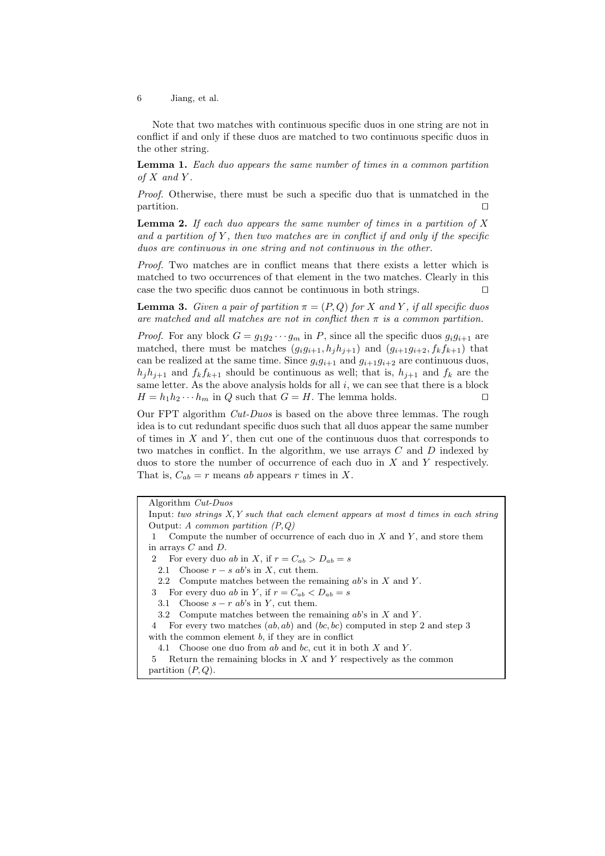6 Jiang, et al.

Note that two matches with continuous specific duos in one string are not in conflict if and only if these duos are matched to two continuous specific duos in the other string.

Lemma 1. Each duo appears the same number of times in a common partition of  $X$  and  $Y$ .

Proof. Otherwise, there must be such a specific duo that is unmatched in the partition. ⊓⊔

**Lemma 2.** If each duo appears the same number of times in a partition of X and a partition of  $Y$ , then two matches are in conflict if and only if the specific duos are continuous in one string and not continuous in the other.

Proof. Two matches are in conflict means that there exists a letter which is matched to two occurrences of that element in the two matches. Clearly in this case the two specific duos cannot be continuous in both strings. ⊓⊔

**Lemma 3.** Given a pair of partition  $\pi = (P, Q)$  for X and Y, if all specific duos are matched and all matches are not in conflict then  $\pi$  is a common partition.

*Proof.* For any block  $G = g_1 g_2 \cdots g_m$  in P, since all the specific duos  $g_i g_{i+1}$  are matched, there must be matches  $(g_i g_{i+1}, h_j h_{j+1})$  and  $(g_{i+1} g_{i+2}, f_k f_{k+1})$  that can be realized at the same time. Since  $g_i g_{i+1}$  and  $g_{i+1} g_{i+2}$  are continuous duos,  $h_i h_{i+1}$  and  $f_k f_{k+1}$  should be continuous as well; that is,  $h_{i+1}$  and  $f_k$  are the same letter. As the above analysis holds for all  $i$ , we can see that there is a block  $H = h_1 h_2 \cdots h_m$  in Q such that  $G = H$ . The lemma holds. □

Our FPT algorithm Cut-Duos is based on the above three lemmas. The rough idea is to cut redundant specific duos such that all duos appear the same number of times in  $X$  and  $Y$ , then cut one of the continuous duos that corresponds to two matches in conflict. In the algorithm, we use arrays  $C$  and  $D$  indexed by duos to store the number of occurrence of each duo in X and Y respectively. That is,  $C_{ab} = r$  means ab appears r times in X.

Algorithm Cut-Duos

```
Input: two strings X,Y such that each element appears at most d times in each string
Output: A common partition (P,Q)
```
1 Compute the number of occurrence of each duo in  $X$  and  $Y$ , and store them in arrays C and D.

2 For every duo ab in X, if  $r = C_{ab} > D_{ab} = s$ 

2.1 Choose  $r - s$  ab's in X, cut them.

2.2 Compute matches between the remaining  $ab$ 's in  $X$  and  $Y$ .

3 For every duo ab in Y, if  $r = C_{ab} < D_{ab} = s$ 

3.1 Choose  $s - r$  ab's in Y, cut them.

4 For every two matches (ab, ab) and (bc, bc) computed in step 2 and step 3 with the common element  $b$ , if they are in conflict

4.1 Choose one duo from ab and bc, cut it in both X and Y.

5 Return the remaining blocks in  $X$  and  $Y$  respectively as the common partition  $(P, Q)$ .

<sup>3.2</sup> Compute matches between the remaining  $ab$ 's in  $X$  and  $Y$ .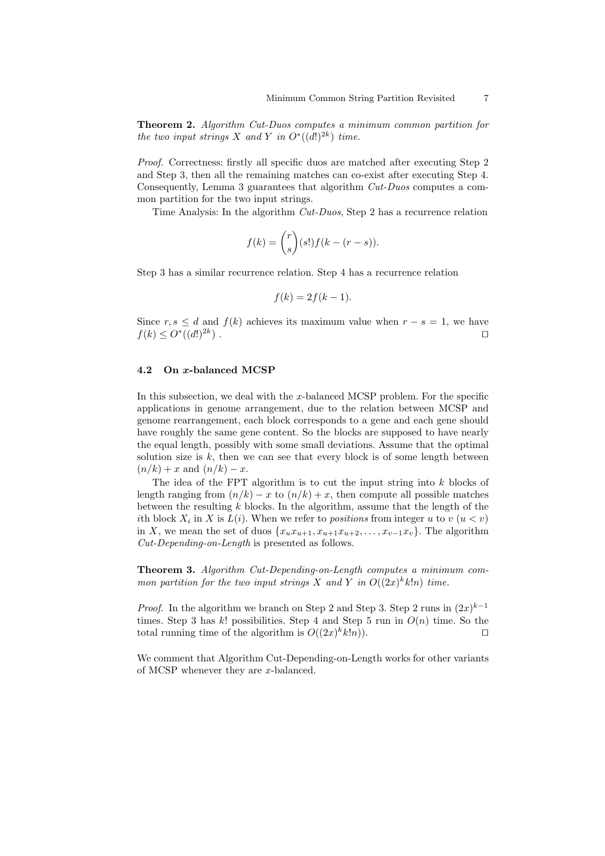Theorem 2. Algorithm Cut-Duos computes a minimum common partition for the two input strings X and Y in  $O^*((d!)^{2k})$  time.

Proof. Correctness: firstly all specific duos are matched after executing Step 2 and Step 3, then all the remaining matches can co-exist after executing Step 4. Consequently, Lemma 3 guarantees that algorithm Cut-Duos computes a common partition for the two input strings.

Time Analysis: In the algorithm Cut-Duos, Step 2 has a recurrence relation

$$
f(k) = {r \choose s} (s!) f(k - (r - s)).
$$

Step 3 has a similar recurrence relation. Step 4 has a recurrence relation

$$
f(k) = 2f(k-1).
$$

Since  $r, s \leq d$  and  $f(k)$  achieves its maximum value when  $r - s = 1$ , we have  $f(k) \leq O^{*}((d!)^{2k})$ ) . ⊓⊔

#### 4.2 On x-balanced MCSP

In this subsection, we deal with the x-balanced MCSP problem. For the specific applications in genome arrangement, due to the relation between MCSP and genome rearrangement, each block corresponds to a gene and each gene should have roughly the same gene content. So the blocks are supposed to have nearly the equal length, possibly with some small deviations. Assume that the optimal solution size is  $k$ , then we can see that every block is of some length between  $(n/k) + x$  and  $(n/k) - x$ .

The idea of the FPT algorithm is to cut the input string into k blocks of length ranging from  $(n/k) - x$  to  $(n/k) + x$ , then compute all possible matches between the resulting  $k$  blocks. In the algorithm, assume that the length of the *i*th block  $X_i$  in X is  $L(i)$ . When we refer to *positions* from integer u to  $v$   $(u < v)$ in X, we mean the set of duos  $\{x_ux_{u+1}, x_{u+1}x_{u+2}, \ldots, x_{v-1}x_v\}$ . The algorithm Cut-Depending-on-Length is presented as follows.

Theorem 3. Algorithm Cut-Depending-on-Length computes a minimum common partition for the two input strings X and Y in  $O((2x)^k k!n)$  time.

*Proof.* In the algorithm we branch on Step 2 and Step 3. Step 2 runs in  $(2x)^{k-1}$ times. Step 3 has k! possibilities. Step 4 and Step 5 run in  $O(n)$  time. So the total running time of the algorithm is  $O((2x)^k k!n)$ . □

We comment that Algorithm Cut-Depending-on-Length works for other variants of MCSP whenever they are x-balanced.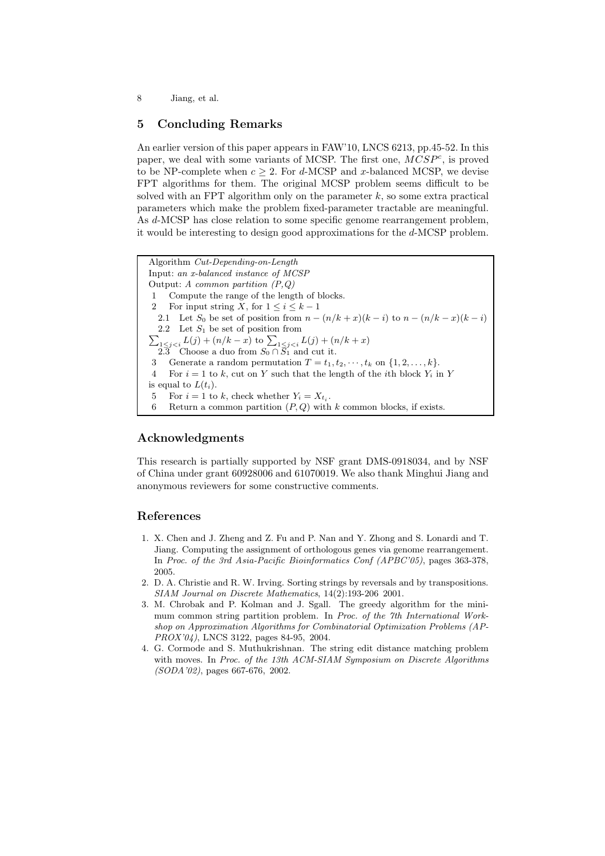8 Jiang, et al.

# 5 Concluding Remarks

An earlier version of this paper appears in FAW'10, LNCS 6213, pp.45-52. In this paper, we deal with some variants of MCSP. The first one,  $MCSP<sup>c</sup>$ , is proved to be NP-complete when  $c \geq 2$ . For d-MCSP and x-balanced MCSP, we devise FPT algorithms for them. The original MCSP problem seems difficult to be solved with an FPT algorithm only on the parameter  $k$ , so some extra practical parameters which make the problem fixed-parameter tractable are meaningful. As d-MCSP has close relation to some specific genome rearrangement problem, it would be interesting to design good approximations for the d-MCSP problem.

Algorithm Cut-Depending-on-Length Input: an x-balanced instance of MCSP Output: A common partition  $(P,Q)$ Compute the range of the length of blocks. 2 For input string X, for  $1 \leq i \leq k-1$ 2.1 Let  $S_0$  be set of position from  $n - (n/k + x)(k - i)$  to  $n - (n/k - x)(k - i)$  $\sum_{1 \leq j < i} L(j) + (n/k - x)$  to  $\sum_{1 \leq j < i} L(j) + (n/k + x)$ 2.2 Let  $S_1$  be set of position from 2.3 Choose a duo from  $S_0 \cap \overline{S_1}$  and cut it. 3 Generate a random permutation  $T = t_1, t_2, \dots, t_k$  on  $\{1, 2, \dots, k\}.$ For  $i = 1$  to k, cut on Y such that the length of the *i*th block  $Y_i$  in Y is equal to  $L(t_i)$ . 5 For  $i = 1$  to k, check whether  $Y_i = X_{t_i}$ . 6 Return a common partition  $(P,Q)$  with k common blocks, if exists.

# Acknowledgments

This research is partially supported by NSF grant DMS-0918034, and by NSF of China under grant 60928006 and 61070019. We also thank Minghui Jiang and anonymous reviewers for some constructive comments.

### References

- 1. X. Chen and J. Zheng and Z. Fu and P. Nan and Y. Zhong and S. Lonardi and T. Jiang. Computing the assignment of orthologous genes via genome rearrangement. In Proc. of the 3rd Asia-Pacific Bioinformatics Conf (APBC'05), pages 363-378, 2005.
- 2. D. A. Christie and R. W. Irving. Sorting strings by reversals and by transpositions. SIAM Journal on Discrete Mathematics, 14(2):193-206 2001.
- 3. M. Chrobak and P. Kolman and J. Sgall. The greedy algorithm for the minimum common string partition problem. In Proc. of the 7th International Workshop on Approximation Algorithms for Combinatorial Optimization Problems (AP-PROX'04), LNCS 3122, pages 84-95, 2004.
- 4. G. Cormode and S. Muthukrishnan. The string edit distance matching problem with moves. In Proc. of the 13th ACM-SIAM Symposium on Discrete Algorithms (SODA'02), pages 667-676, 2002.